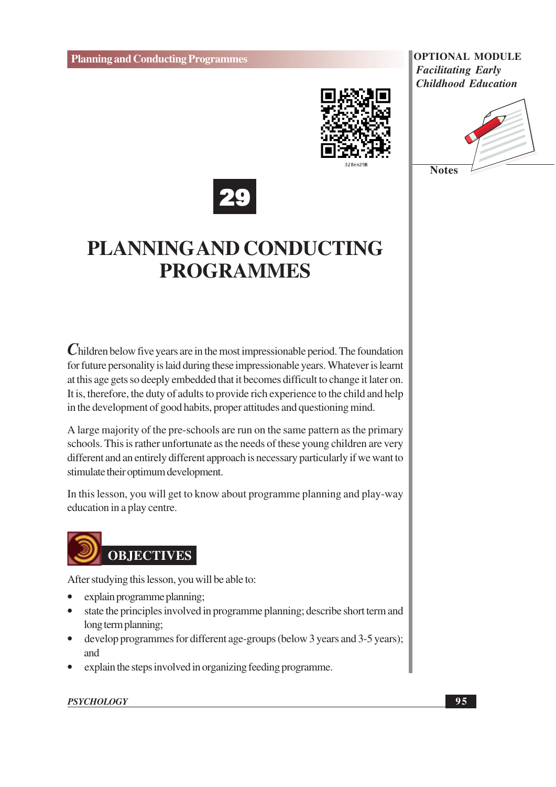





### **PLANNINGAND CONDUCTING PROGRAMMES**

Children below five years are in the most impressionable period. The foundation for future personality is laid during these impressionable years. Whatever is learnt at this age gets so deeply embedded that it becomes difficult to change it later on. It is, therefore, the duty of adults to provide rich experience to the child and help in the development of good habits, proper attitudes and questioning mind.

A large majority of the pre-schools are run on the same pattern as the primary schools. This is rather unfortunate as the needs of these young children are very different and an entirely different approach is necessary particularly if we want to stimulate their optimum development.

In this lesson, you will get to know about programme planning and play-way education in a play centre.



After studying this lesson, you will be able to:

- explain programme planning;
- state the principles involved in programme planning; describe short term and long term planning;
- develop programmes for different age-groups (below 3 years and 3-5 years);  $\bullet$ and
- explain the steps involved in organizing feeding programme.

#### **PSYCHOLOGY**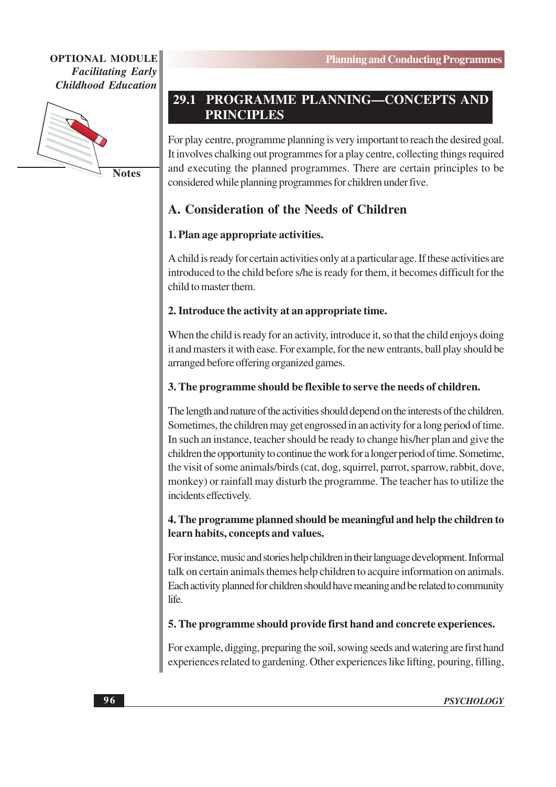

**Notes** 

#### PROGRAMME PLANNING-CONCEPTS AND 29.1 **PRINCIPLES**

For play centre, programme planning is very important to reach the desired goal. It involves chalking out programmes for a play centre, collecting things required and executing the planned programmes. There are certain principles to be considered while planning programmes for children under five.

#### A. Consideration of the Needs of Children

#### 1. Plan age appropriate activities.

A child is ready for certain activities only at a particular age. If these activities are introduced to the child before s/he is ready for them, it becomes difficult for the child to master them.

#### 2. Introduce the activity at an appropriate time.

When the child is ready for an activity, introduce it, so that the child enjoys doing it and masters it with ease. For example, for the new entrants, ball play should be arranged before offering organized games.

#### 3. The programme should be flexible to serve the needs of children.

The length and nature of the activities should depend on the interests of the children. Sometimes, the children may get engrossed in an activity for a long period of time. In such an instance, teacher should be ready to change his/her plan and give the children the opportunity to continue the work for a longer period of time. Sometime, the visit of some animals/birds (cat, dog, squirrel, parrot, sparrow, rabbit, dove, monkey) or rainfall may disturb the programme. The teacher has to utilize the incidents effectively.

#### 4. The programme planned should be meaningful and help the children to learn habits, concepts and values.

For instance, music and stories help children in their language development. Informal talk on certain animals themes help children to acquire information on animals. Each activity planned for children should have meaning and be related to community life.

#### 5. The programme should provide first hand and concrete experiences.

For example, digging, preparing the soil, sowing seeds and watering are first hand experiences related to gardening. Other experiences like lifting, pouring, filling,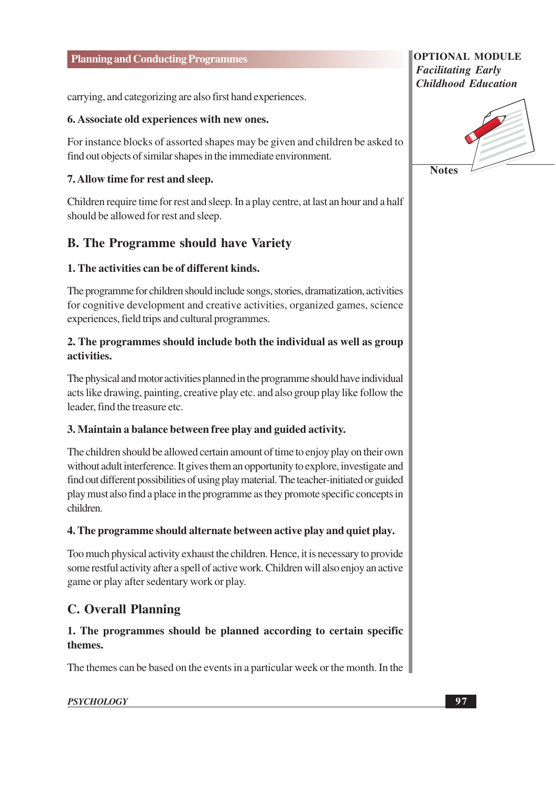carrying, and categorizing are also first hand experiences.

#### 6. Associate old experiences with new ones.

For instance blocks of assorted shapes may be given and children be asked to find out objects of similar shapes in the immediate environment.

#### 7. Allow time for rest and sleep.

Children require time for rest and sleep. In a play centre, at last an hour and a half should be allowed for rest and sleep.

#### **B.** The Programme should have Variety

#### 1. The activities can be of different kinds.

The programme for children should include songs, stories, dramatization, activities for cognitive development and creative activities, organized games, science experiences, field trips and cultural programmes.

#### 2. The programmes should include both the individual as well as group activities.

The physical and motor activities planned in the programme should have individual acts like drawing, painting, creative play etc. and also group play like follow the leader, find the treasure etc.

#### 3. Maintain a balance between free play and guided activity.

The children should be allowed certain amount of time to enjoy play on their own without adult interference. It gives them an opportunity to explore, investigate and find out different possibilities of using play material. The teacher-initiated or guided play must also find a place in the programme as they promote specific concepts in children

#### 4. The programme should alternate between active play and quiet play.

Too much physical activity exhaust the children. Hence, it is necessary to provide some restful activity after a spell of active work. Children will also enjoy an active game or play after sedentary work or play.

#### **C. Overall Planning**

#### 1. The programmes should be planned according to certain specific themes.

The themes can be based on the events in a particular week or the month. In the

#### **PSYCHOLOGY**

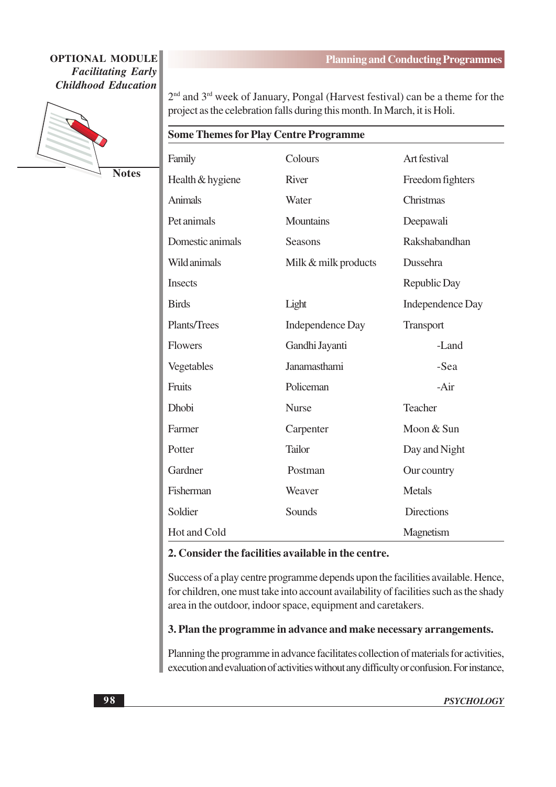

**Notes** 

2<sup>nd</sup> and 3<sup>rd</sup> week of January, Pongal (Harvest festival) can be a theme for the project as the celebration falls during this month. In March, it is Holi.

#### **Some Themes for Play Centre Programme**

| Family           | Colours                 | Art festival            |
|------------------|-------------------------|-------------------------|
| Health & hygiene | <b>River</b>            | Freedom fighters        |
| <b>Animals</b>   | Water                   | Christmas               |
| Pet animals      | <b>Mountains</b>        | Deepawali               |
| Domestic animals | <b>Seasons</b>          | Rakshabandhan           |
| Wild animals     | Milk & milk products    | Dussehra                |
| <b>Insects</b>   |                         | Republic Day            |
| <b>Birds</b>     | Light                   | <b>Independence Day</b> |
| Plants/Trees     | <b>Independence Day</b> | <b>Transport</b>        |
| <b>Flowers</b>   | Gandhi Jayanti          | -Land                   |
| Vegetables       | Janamasthami            | -Sea                    |
| Fruits           | Policeman               | $-Air$                  |
| Dhobi            | <b>Nurse</b>            | Teacher                 |
| Farmer           | Carpenter               | Moon & Sun              |
| Potter           | <b>Tailor</b>           | Day and Night           |
| Gardner          | Postman                 | Our country             |
| Fisherman        | Weaver                  | <b>Metals</b>           |
| Soldier          | Sounds                  | <b>Directions</b>       |
| Hot and Cold     |                         | Magnetism               |

#### 2. Consider the facilities available in the centre.

Success of a play centre programme depends upon the facilities available. Hence, for children, one must take into account availability of facilities such as the shady area in the outdoor, indoor space, equipment and caretakers.

#### 3. Plan the programme in advance and make necessary arrangements.

Planning the programme in advance facilitates collection of materials for activities, execution and evaluation of activities without any difficulty or confusion. For instance,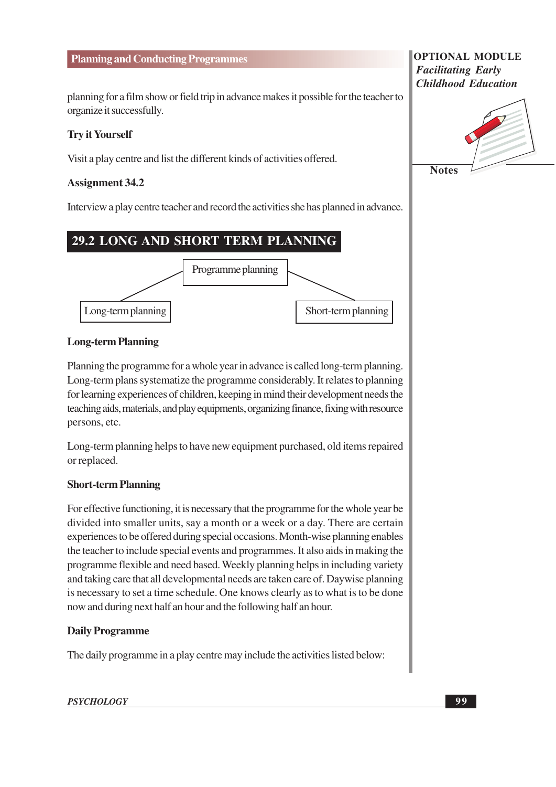#### **Planning and Conducting Programmes**

planning for a film show or field trip in advance makes it possible for the teacher to organize it successfully.

#### **Try it Yourself**

Visit a play centre and list the different kinds of activities offered.

#### **Assignment 34.2**

Interview a play centre teacher and record the activities she has planned in advance.

#### 29.2 LONG AND SHORT TERM PLANNING



#### **Long-term Planning**

Planning the programme for a whole year in advance is called long-term planning. Long-term plans systematize the programme considerably. It relates to planning for learning experiences of children, keeping in mind their development needs the teaching aids, materials, and play equipments, organizing finance, fixing with resource persons, etc.

Long-term planning helps to have new equipment purchased, old items repaired or replaced.

#### **Short-term Planning**

For effective functioning, it is necessary that the programme for the whole year be divided into smaller units, say a month or a week or a day. There are certain experiences to be offered during special occasions. Month-wise planning enables the teacher to include special events and programmes. It also aids in making the programme flexible and need based. Weekly planning helps in including variety and taking care that all developmental needs are taken care of. Daywise planning is necessary to set a time schedule. One knows clearly as to what is to be done now and during next half an hour and the following half an hour.

#### **Daily Programme**

The daily programme in a play centre may include the activities listed below:

#### **PSYCHOLOGY**

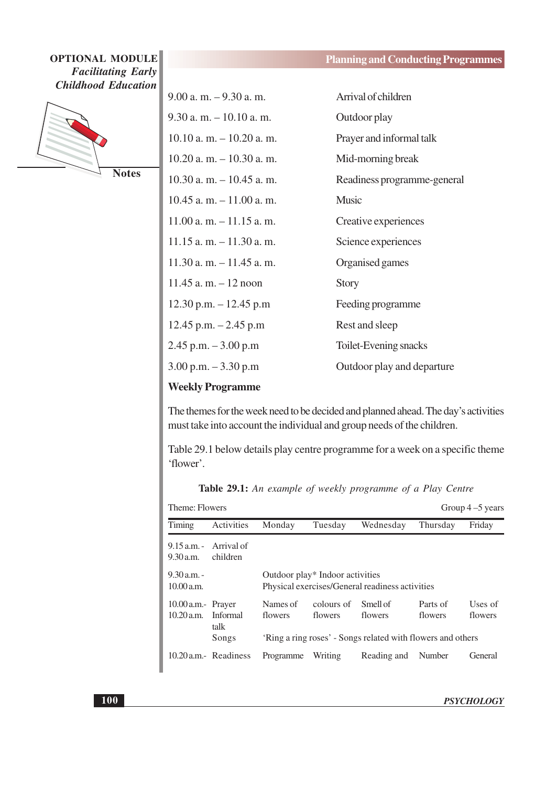

**Notes** 

| $9.00$ a. m. $-9.30$ a. m.   | Arrival of children         |
|------------------------------|-----------------------------|
| $9.30$ a. m. $-10.10$ a. m.  | Outdoor play                |
| $10.10$ a. m. $-10.20$ a. m. | Prayer and informal talk    |
| $10.20$ a. m. $-10.30$ a. m. | Mid-morning break           |
| $10.30$ a.m. $-10.45$ a.m.   | Readiness programme-general |
| $10.45$ a.m. $-11.00$ a.m.   | <b>Music</b>                |
| $11.00$ a.m. $-11.15$ a.m.   | Creative experiences        |
| $11.15$ a.m. $-11.30$ a.m.   | Science experiences         |
| $11.30$ a.m. $-11.45$ a.m.   | Organised games             |
| $11.45$ a. m. $-12$ noon     | <b>Story</b>                |
| $12.30$ p.m. $-12.45$ p.m    | Feeding programme           |
| $12.45$ p.m. $-2.45$ p.m     | Rest and sleep              |
| $2.45$ p.m. $-3.00$ p.m      | Toilet-Evening snacks       |
| $3.00$ p.m. $-3.30$ p.m      | Outdoor play and departure  |
|                              |                             |

#### **Weekly Programme**

The themes for the week need to be decided and planned ahead. The day's activities must take into account the individual and group needs of the children.

Table 29.1 below details play centre programme for a week on a specific theme 'flower'.

Table 29.1: An example of weekly programme of a Play Centre

| Theme: Flowers                       |                                      |                     |                                 |                                                             |                     | Group $4-5$ years  |
|--------------------------------------|--------------------------------------|---------------------|---------------------------------|-------------------------------------------------------------|---------------------|--------------------|
| Timing                               | Activities                           | Monday              | Tuesday                         | Wednesday                                                   | Thursday            | Friday             |
| $9.30$ a.m.                          | $9.15$ a.m. - Arrival of<br>children |                     |                                 |                                                             |                     |                    |
| $9.30$ a.m. -<br>10.00 a.m.          |                                      |                     | Outdoor play* Indoor activities | Physical exercises/General readiness activities             |                     |                    |
| $10.00$ a.m.- Prayer<br>$10.20$ a.m. | <b>Informal</b><br>talk              | Names of<br>flowers | colours of<br>flowers           | Smell of<br>flowers                                         | Parts of<br>flowers | Uses of<br>flowers |
|                                      | Songs                                |                     |                                 | 'Ring a ring roses' - Songs related with flowers and others |                     |                    |
|                                      | 10.20 a.m. Readiness                 | Programme           | Writing                         | Reading and                                                 | Number              | General            |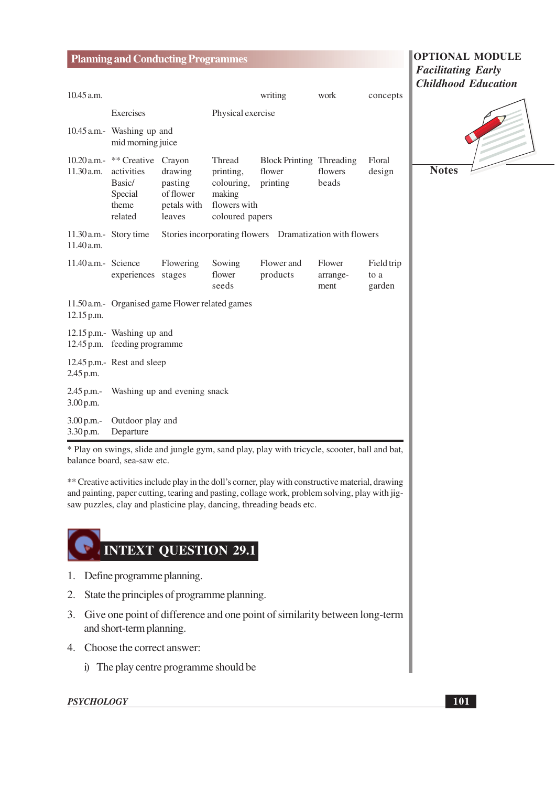|                         | <b>Planning and Conducting Programmes</b>                                             |                                                          |                                                                                |                                                          |                            |                              | <b>OPTIONAL MODULE</b>                                  |
|-------------------------|---------------------------------------------------------------------------------------|----------------------------------------------------------|--------------------------------------------------------------------------------|----------------------------------------------------------|----------------------------|------------------------------|---------------------------------------------------------|
| 10.45 a.m.              |                                                                                       |                                                          |                                                                                | writing                                                  | work                       | concepts                     | <b>Facilitating Early</b><br><b>Childhood Education</b> |
|                         | Exercises                                                                             |                                                          | Physical exercise                                                              |                                                          |                            |                              |                                                         |
|                         | 10.45 a.m.- Washing up and<br>mid morning juice                                       |                                                          |                                                                                |                                                          |                            |                              |                                                         |
| 11.30 a.m.              | 10.20 a.m.- ** Creative Crayon<br>activities<br>Basic/<br>Special<br>theme<br>related | drawing<br>pasting<br>of flower<br>petals with<br>leaves | Thread<br>printing,<br>colouring,<br>making<br>flowers with<br>coloured papers | <b>Block Printing Threading</b><br>flower<br>printing    | flowers<br>beads           | Floral<br>design             | <b>Notes</b>                                            |
| 11.40 a.m.              | 11.30 a.m.- Story time                                                                |                                                          |                                                                                | Stories incorporating flowers Dramatization with flowers |                            |                              |                                                         |
| 11.40 a.m.- Science     | experiences stages                                                                    | Flowering                                                | Sowing<br>flower<br>seeds                                                      | Flower and<br>products                                   | Flower<br>arrange-<br>ment | Field trip<br>to a<br>garden |                                                         |
| 12.15 p.m.              | 11.50 a.m. Organised game Flower related games                                        |                                                          |                                                                                |                                                          |                            |                              |                                                         |
|                         | 12.15 p.m.- Washing up and<br>12.45 p.m. feeding programme                            |                                                          |                                                                                |                                                          |                            |                              |                                                         |
| 2.45 p.m.               | 12.45 p.m.- Rest and sleep                                                            |                                                          |                                                                                |                                                          |                            |                              |                                                         |
| 2.45 p.m.-<br>3.00 p.m. |                                                                                       | Washing up and evening snack                             |                                                                                |                                                          |                            |                              |                                                         |
| 3.00 p.m.-<br>3.30 p.m. | Outdoor play and<br>Departure                                                         |                                                          |                                                                                |                                                          |                            |                              |                                                         |

\* Play on swings, slide and jungle gym, sand play, play with tricycle, scooter, ball and bat, balance board, sea-saw etc.

\*\* Creative activities include play in the doll's corner, play with constructive material, drawing and painting, paper cutting, tearing and pasting, collage work, problem solving, play with jigsaw puzzles, clay and plasticine play, dancing, threading beads etc.

## **INTEXT QUESTION 29.1**

- 1. Define programme planning.
- 2. State the principles of programme planning.
- 3. Give one point of difference and one point of similarity between long-term and short-term planning.
- 4. Choose the correct answer:
	- i) The play centre programme should be

#### **PSYCHOLOGY**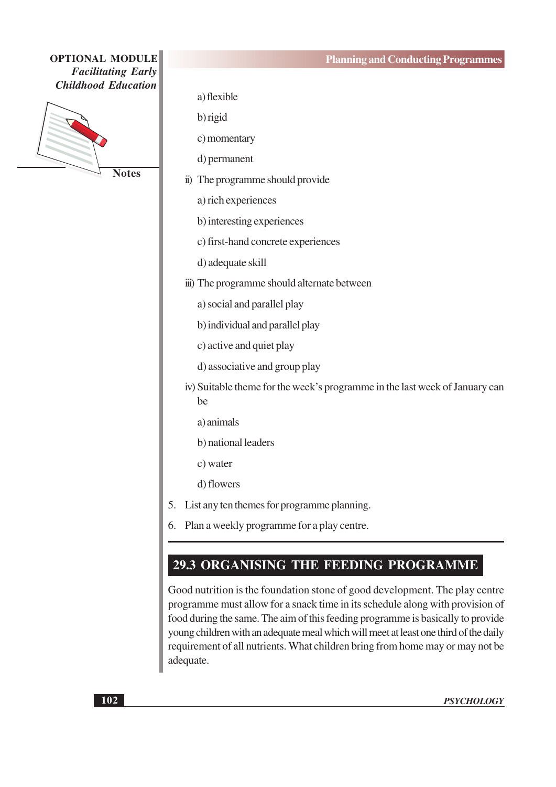a) flexible

b) rigid

c) momentary

d) permanent

ii) The programme should provide

a) rich experiences

- b) interesting experiences
- c) first-hand concrete experiences
- d) adequate skill
- iii) The programme should alternate between
	- a) social and parallel play
	- b) individual and parallel play
	- c) active and quiet play
	- d) associative and group play
- iv) Suitable theme for the week's programme in the last week of January can be
	- a) animals
	- b) national leaders
	- c) water
	- d) flowers
- 5. List any ten themes for programme planning.
- 6. Plan a weekly programme for a play centre.

#### 29.3 ORGANISING THE FEEDING PROGRAMME

Good nutrition is the foundation stone of good development. The play centre programme must allow for a snack time in its schedule along with provision of food during the same. The aim of this feeding programme is basically to provide young children with an adequate meal which will meet at least one third of the daily requirement of all nutrients. What children bring from home may or may not be adequate.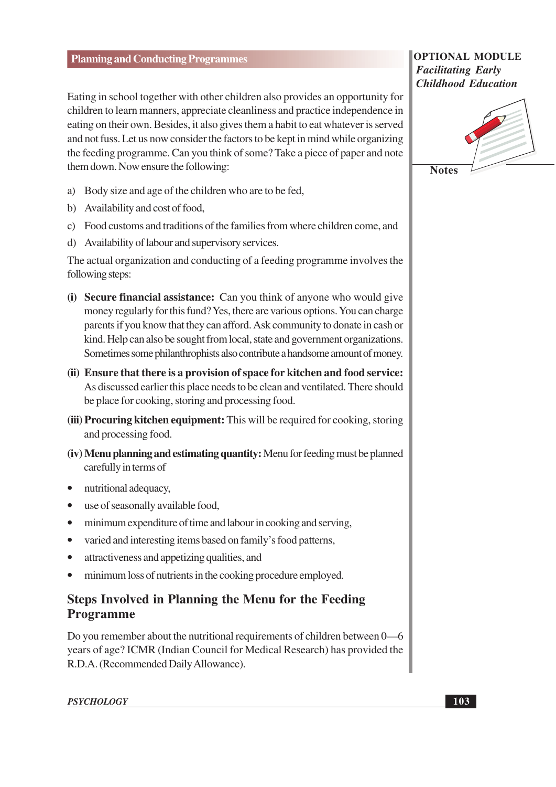Eating in school together with other children also provides an opportunity for children to learn manners, appreciate cleanliness and practice independence in eating on their own. Besides, it also gives them a habit to eat whatever is served and not fuss. Let us now consider the factors to be kept in mind while organizing the feeding programme. Can you think of some? Take a piece of paper and note them down. Now ensure the following:

- a) Body size and age of the children who are to be fed,
- b) Availability and cost of food,
- c) Food customs and traditions of the families from where children come, and
- d) Availability of labour and supervisory services.

The actual organization and conducting of a feeding programme involves the following steps:

- (i) Secure financial assistance: Can you think of anyone who would give money regularly for this fund? Yes, there are various options. You can charge parents if you know that they can afford. Ask community to donate in cash or kind. Help can also be sought from local, state and government organizations. Sometimes some philanthrophists also contribute a handsome amount of money.
- (ii) Ensure that there is a provision of space for kitchen and food service: As discussed earlier this place needs to be clean and ventilated. There should be place for cooking, storing and processing food.
- (iii) Procuring kitchen equipment: This will be required for cooking, storing and processing food.
- (iv) Menu planning and estimating quantity: Menu for feeding must be planned carefully in terms of
- nutritional adequacy,
- use of seasonally available food,  $\bullet$
- minimum expenditure of time and labour in cooking and serving,  $\bullet$
- varied and interesting items based on family's food patterns,  $\bullet$
- attractiveness and appetizing qualities, and  $\bullet$
- minimum loss of nutrients in the cooking procedure employed.  $\bullet$

#### **Steps Involved in Planning the Menu for the Feeding Programme**

Do you remember about the nutritional requirements of children between 0—6 years of age? ICMR (Indian Council for Medical Research) has provided the R.D.A. (Recommended Daily Allowance).

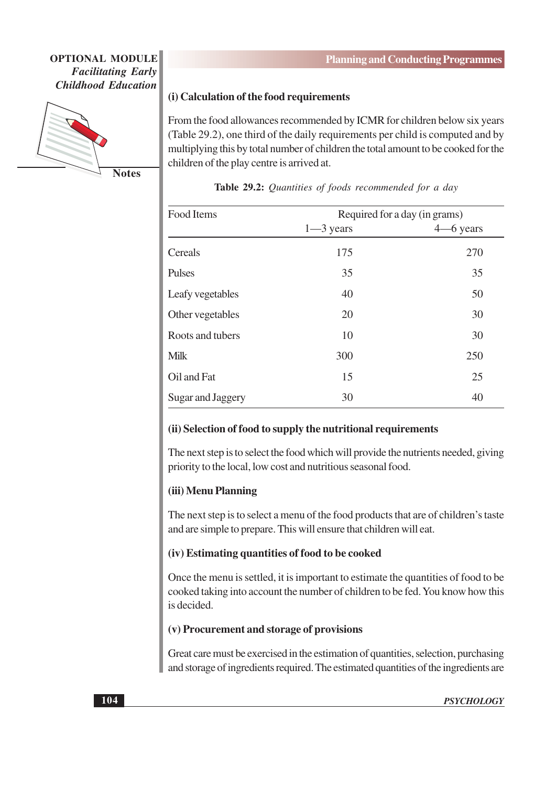

**Notes** 

#### (i) Calculation of the food requirements

From the food allowances recommended by ICMR for children below six years (Table 29.2), one third of the daily requirements per child is computed and by multiplying this by total number of children the total amount to be cooked for the children of the play centre is arrived at.

| Food Items        |               | Required for a day (in grams) |
|-------------------|---------------|-------------------------------|
|                   | $1 - 3$ years | $4 - 6$ years                 |
| Cereals           | 175           | 270                           |
| Pulses            | 35            | 35                            |
| Leafy vegetables  | 40            | 50                            |
| Other vegetables  | 20            | 30                            |
| Roots and tubers  | 10            | 30                            |
| <b>Milk</b>       | 300           | 250                           |
| Oil and Fat       | 15            | 25                            |
| Sugar and Jaggery | 30            | 40                            |

#### Table 29.2: Quantities of foods recommended for a day

#### (ii) Selection of food to supply the nutritional requirements

The next step is to select the food which will provide the nutrients needed, giving priority to the local, low cost and nutritious seasonal food.

#### (iii) Menu Planning

The next step is to select a menu of the food products that are of children's taste and are simple to prepare. This will ensure that children will eat.

#### (iv) Estimating quantities of food to be cooked

Once the menu is settled, it is important to estimate the quantities of food to be cooked taking into account the number of children to be fed. You know how this is decided.

#### (v) Procurement and storage of provisions

Great care must be exercised in the estimation of quantities, selection, purchasing and storage of ingredients required. The estimated quantities of the ingredients are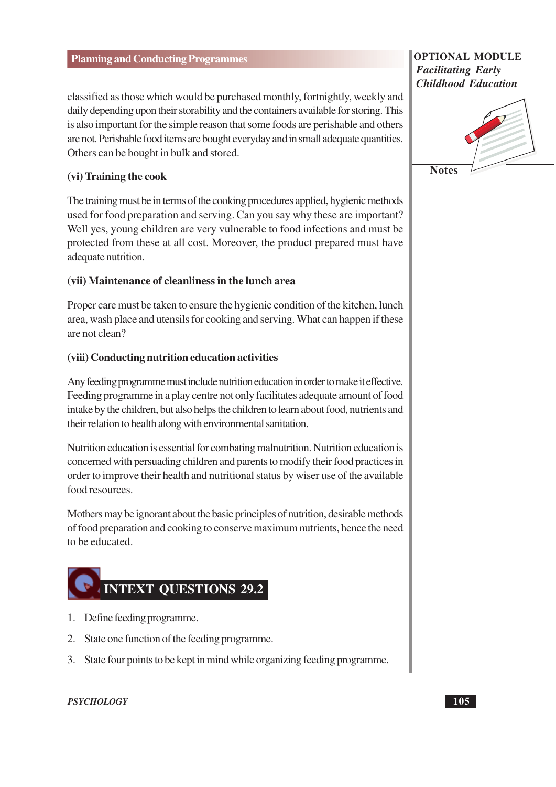classified as those which would be purchased monthly, fortnightly, weekly and daily depending upon their storability and the containers available for storing. This is also important for the simple reason that some foods are perishable and others are not. Perishable food items are bought everyday and in small adequate quantities. Others can be bought in bulk and stored.

#### (vi) Training the cook

The training must be in terms of the cooking procedures applied, hygienic methods used for food preparation and serving. Can you say why these are important? Well yes, young children are very vulnerable to food infections and must be protected from these at all cost. Moreover, the product prepared must have adequate nutrition.

#### (vii) Maintenance of cleanliness in the lunch area

Proper care must be taken to ensure the hygienic condition of the kitchen, lunch area, wash place and utensils for cooking and serving. What can happen if these are not clean?

#### (viii) Conducting nutrition education activities

Any feeding programme must include nutrition education in order to make it effective. Feeding programme in a play centre not only facilitates adequate amount of food intake by the children, but also helps the children to learn about food, nutrients and their relation to health along with environmental sanitation.

Nutrition education is essential for combating malnutrition. Nutrition education is concerned with persuading children and parents to modify their food practices in order to improve their health and nutritional status by wiser use of the available food resources.

Mothers may be ignorant about the basic principles of nutrition, desirable methods of food preparation and cooking to conserve maximum nutrients, hence the need to be educated.



- 1. Define feeding programme.
- 2. State one function of the feeding programme.
- 3. State four points to be kept in mind while organizing feeding programme.

#### **PSYCHOLOGY**

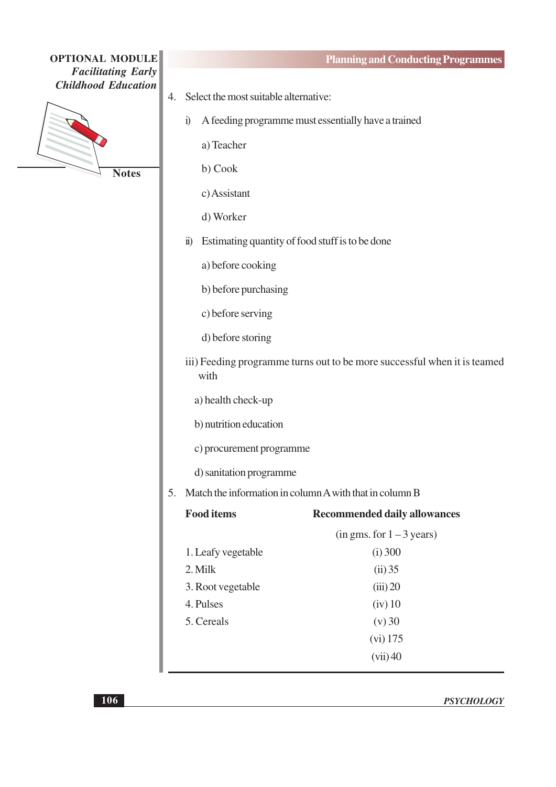

**Planning and Conducting Programmes** 

- 4. Select the most suitable alternative:
	- i) A feeding programme must essentially have a trained
		- a) Teacher
		- b) Cook
		- c) Assistant
		- d) Worker
	- ii) Estimating quantity of food stuff is to be done
		- a) before cooking
		- b) before purchasing
		- c) before serving
		- d) before storing
	- iii) Feeding programme turns out to be more successful when it is teamed with
		- a) health check-up
		- b) nutrition education
		- c) procurement programme
		- d) sanitation programme
- 5. Match the information in column A with that in column B

| <b>Food items</b>  | <b>Recommended daily allowances</b> |
|--------------------|-------------------------------------|
|                    | $(in gms. for 1-3 years)$           |
| 1. Leafy vegetable | $(i)$ 300                           |
| 2. Milk            | (ii) 35                             |
| 3. Root vegetable  | (iii) 20                            |
| 4. Pulses          | $(iv)$ 10                           |
| 5. Cereals         | (v) 30                              |
|                    | $(vi)$ 175                          |
|                    | (vii)40                             |
|                    |                                     |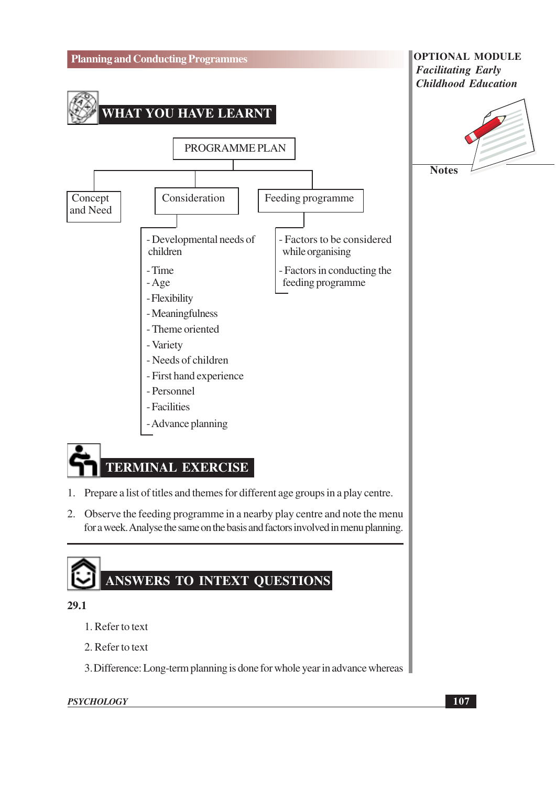

- 2. Refer to text
- 3. Difference: Long-term planning is done for whole year in advance whereas

**PSYCHOLOGY**